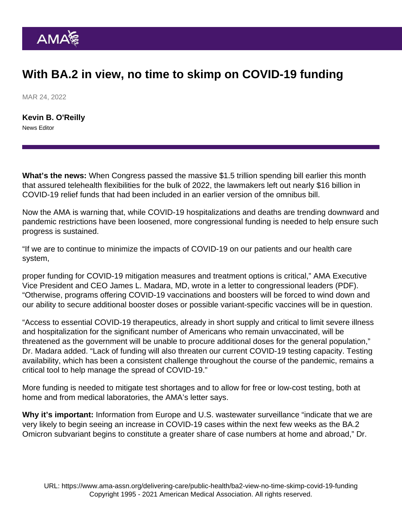## With BA.2 in view, no time to skimp on COVID-19 funding

MAR 24, 2022

[Kevin B. O'Reilly](https://www.ama-assn.org/news-leadership-viewpoints/authors-news-leadership-viewpoints/kevin-b-oreilly) News Editor

What's the news: When Congress passed the massive \$1.5 trillion spending bill earlier this month that [assured telehealth flexibilities for the bulk of 2022](https://www.ama-assn.org/practice-management/digital/telehealth-flexibilities-assured-bulk-2022), the lawmakers left out nearly \$16 billion in COVID-19 relief funds that had been included in an earlier version of the omnibus bill.

Now the AMA is warning that, while COVID-19 hospitalizations and deaths are trending downward and pandemic restrictions have been loosened, more congressional funding is needed to help ensure such progress is sustained.

"If we are to continue to minimize the impacts of COVID-19 on our patients and our health care system,

proper funding for COVID-19 mitigation measures and treatment options is critical," AMA Executive Vice President and CEO James L. Madara, MD, wrote in a [letter to congressional leaders](https://searchlf.ama-assn.org/letter/documentDownload?uri=/unstructured/binary/letter/LETTERS/2022-3-17-Letter-to-Congressional-Leaders-re-COVID-Preparedness.pdf) (PDF). "Otherwise, programs offering COVID-19 vaccinations and boosters will be forced to wind down and our ability to secure additional booster doses or possible variant-specific vaccines will be in question.

"Access to essential COVID-19 therapeutics, already in short supply and critical to limit severe illness and hospitalization for the significant number of Americans who remain unvaccinated, will be threatened as the government will be unable to procure additional doses for the general population," Dr. Madara added. "Lack of funding will also threaten our current COVID-19 testing capacity. Testing availability, which has been a consistent challenge throughout the course of the pandemic, remains a critical tool to help manage the spread of COVID-19."

More funding is needed to mitigate test shortages and to allow for free or low-cost testing, both at home and from medical laboratories, the AMA's letter says.

Why it's important: Information from Europe and U.S. wastewater surveillance "indicate that we are very likely to begin seeing an increase in COVID-19 cases within the next few weeks as the [BA.2](https://www.ama-assn.org/delivering-care/public-health/what-ba2-or-stealth-omicron-subvariant) [Omicron subvariant](https://www.ama-assn.org/delivering-care/public-health/what-ba2-or-stealth-omicron-subvariant) begins to constitute a greater share of case numbers at home and abroad," Dr.